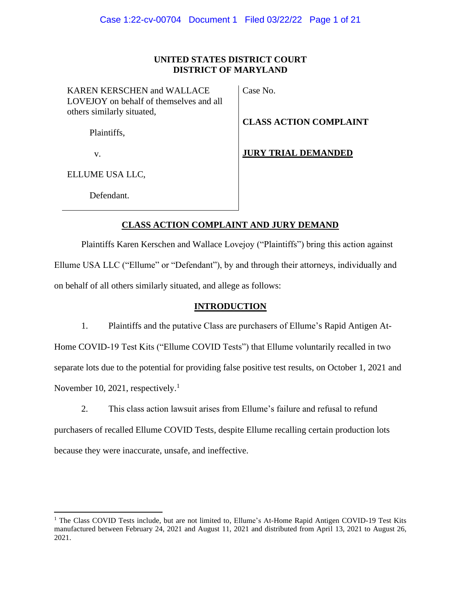# **UNITED STATES DISTRICT COURT DISTRICT OF MARYLAND**

KAREN KERSCHEN and WALLACE LOVEJOY on behalf of themselves and all others similarly situated,

Case No.

**CLASS ACTION COMPLAINT** 

Plaintiffs,

v.

**JURY TRIAL DEMANDED**

ELLUME USA LLC,

Defendant.

# **CLASS ACTION COMPLAINT AND JURY DEMAND**

Plaintiffs Karen Kerschen and Wallace Lovejoy ("Plaintiffs") bring this action against Ellume USA LLC ("Ellume" or "Defendant"), by and through their attorneys, individually and on behalf of all others similarly situated, and allege as follows:

# **INTRODUCTION**

1. Plaintiffs and the putative Class are purchasers of Ellume's Rapid Antigen At-Home COVID-19 Test Kits ("Ellume COVID Tests") that Ellume voluntarily recalled in two separate lots due to the potential for providing false positive test results, on October 1, 2021 and November 10, 2021, respectively.<sup>1</sup>

2. This class action lawsuit arises from Ellume's failure and refusal to refund purchasers of recalled Ellume COVID Tests, despite Ellume recalling certain production lots because they were inaccurate, unsafe, and ineffective.

<sup>&</sup>lt;sup>1</sup> The Class COVID Tests include, but are not limited to, Ellume's At-Home Rapid Antigen COVID-19 Test Kits manufactured between February 24, 2021 and August 11, 2021 and distributed from April 13, 2021 to August 26, 2021.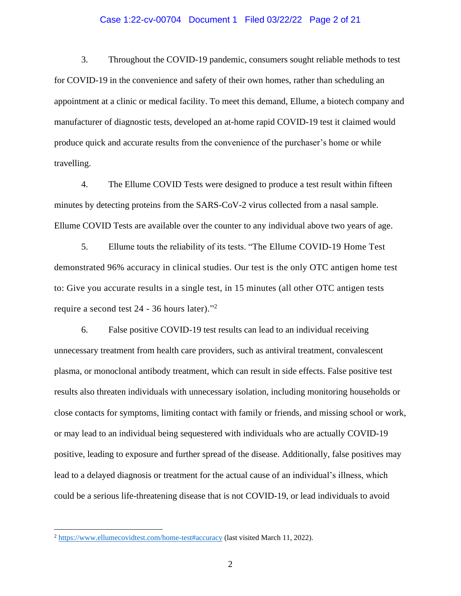# Case 1:22-cv-00704 Document 1 Filed 03/22/22 Page 2 of 21

3. Throughout the COVID-19 pandemic, consumers sought reliable methods to test for COVID-19 in the convenience and safety of their own homes, rather than scheduling an appointment at a clinic or medical facility. To meet this demand, Ellume, a biotech company and manufacturer of diagnostic tests, developed an at-home rapid COVID-19 test it claimed would produce quick and accurate results from the convenience of the purchaser's home or while travelling.

4. The Ellume COVID Tests were designed to produce a test result within fifteen minutes by detecting proteins from the SARS-CoV-2 virus collected from a nasal sample. Ellume COVID Tests are available over the counter to any individual above two years of age.

5. Ellume touts the reliability of its tests. "The Ellume COVID-19 Home Test demonstrated 96% accuracy in clinical studies. Our test is the only OTC antigen home test to: Give you accurate results in a single test, in 15 minutes (all other OTC antigen tests require a second test 24 - 36 hours later)." 2

6. False positive COVID-19 test results can lead to an individual receiving unnecessary treatment from health care providers, such as antiviral treatment, convalescent plasma, or monoclonal antibody treatment, which can result in side effects. False positive test results also threaten individuals with unnecessary isolation, including monitoring households or close contacts for symptoms, limiting contact with family or friends, and missing school or work, or may lead to an individual being sequestered with individuals who are actually COVID-19 positive, leading to exposure and further spread of the disease. Additionally, false positives may lead to a delayed diagnosis or treatment for the actual cause of an individual's illness, which could be a serious life-threatening disease that is not COVID-19, or lead individuals to avoid

<sup>2</sup> <https://www.ellumecovidtest.com/home-test#accuracy> (last visited March 11, 2022).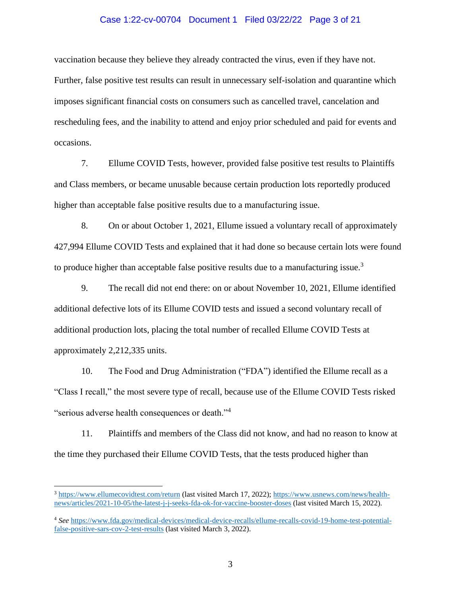# Case 1:22-cv-00704 Document 1 Filed 03/22/22 Page 3 of 21

vaccination because they believe they already contracted the virus, even if they have not. Further, false positive test results can result in unnecessary self-isolation and quarantine which imposes significant financial costs on consumers such as cancelled travel, cancelation and rescheduling fees, and the inability to attend and enjoy prior scheduled and paid for events and occasions.

7. Ellume COVID Tests, however, provided false positive test results to Plaintiffs and Class members, or became unusable because certain production lots reportedly produced higher than acceptable false positive results due to a manufacturing issue.

8. On or about October 1, 2021, Ellume issued a voluntary recall of approximately 427,994 Ellume COVID Tests and explained that it had done so because certain lots were found to produce higher than acceptable false positive results due to a manufacturing issue.<sup>3</sup>

9. The recall did not end there: on or about November 10, 2021, Ellume identified additional defective lots of its Ellume COVID tests and issued a second voluntary recall of additional production lots, placing the total number of recalled Ellume COVID Tests at approximately 2,212,335 units.

10. The Food and Drug Administration ("FDA") identified the Ellume recall as a "Class I recall," the most severe type of recall, because use of the Ellume COVID Tests risked "serious adverse health consequences or death."<sup>4</sup>

11. Plaintiffs and members of the Class did not know, and had no reason to know at the time they purchased their Ellume COVID Tests, that the tests produced higher than

<sup>3</sup> <https://www.ellumecovidtest.com/return> (last visited March 17, 2022); [https://www.usnews.com/news/health](https://www.usnews.com/news/health-news/articles/2021-10-05/the-latest-j-j-seeks-fda-ok-for-vaccine-booster-doses)[news/articles/2021-10-05/the-latest-j-j-seeks-fda-ok-for-vaccine-booster-doses](https://www.usnews.com/news/health-news/articles/2021-10-05/the-latest-j-j-seeks-fda-ok-for-vaccine-booster-doses) (last visited March 15, 2022).

<sup>4</sup> *See* [https://www.fda.gov/medical-devices/medical-device-recalls/ellume-recalls-covid-19-home-test-potential](https://www.fda.gov/medical-devices/medical-device-recalls/ellume-recalls-covid-19-home-test-potential-false-positive-sars-cov-2-test-results)[false-positive-sars-cov-2-test-results](https://www.fda.gov/medical-devices/medical-device-recalls/ellume-recalls-covid-19-home-test-potential-false-positive-sars-cov-2-test-results) (last visited March 3, 2022).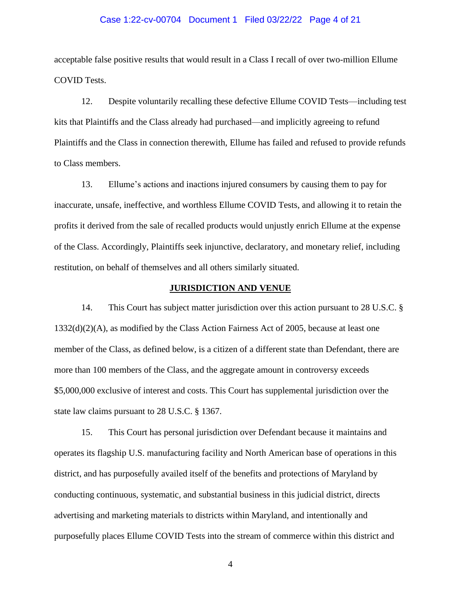# Case 1:22-cv-00704 Document 1 Filed 03/22/22 Page 4 of 21

acceptable false positive results that would result in a Class I recall of over two-million Ellume COVID Tests.

12. Despite voluntarily recalling these defective Ellume COVID Tests—including test kits that Plaintiffs and the Class already had purchased—and implicitly agreeing to refund Plaintiffs and the Class in connection therewith, Ellume has failed and refused to provide refunds to Class members.

13. Ellume's actions and inactions injured consumers by causing them to pay for inaccurate, unsafe, ineffective, and worthless Ellume COVID Tests, and allowing it to retain the profits it derived from the sale of recalled products would unjustly enrich Ellume at the expense of the Class. Accordingly, Plaintiffs seek injunctive, declaratory, and monetary relief, including restitution, on behalf of themselves and all others similarly situated.

# **JURISDICTION AND VENUE**

14. This Court has subject matter jurisdiction over this action pursuant to 28 U.S.C. § 1332(d)(2)(A), as modified by the Class Action Fairness Act of 2005, because at least one member of the Class, as defined below, is a citizen of a different state than Defendant, there are more than 100 members of the Class, and the aggregate amount in controversy exceeds \$5,000,000 exclusive of interest and costs. This Court has supplemental jurisdiction over the state law claims pursuant to 28 U.S.C. § 1367.

15. This Court has personal jurisdiction over Defendant because it maintains and operates its flagship U.S. manufacturing facility and North American base of operations in this district, and has purposefully availed itself of the benefits and protections of Maryland by conducting continuous, systematic, and substantial business in this judicial district, directs advertising and marketing materials to districts within Maryland, and intentionally and purposefully places Ellume COVID Tests into the stream of commerce within this district and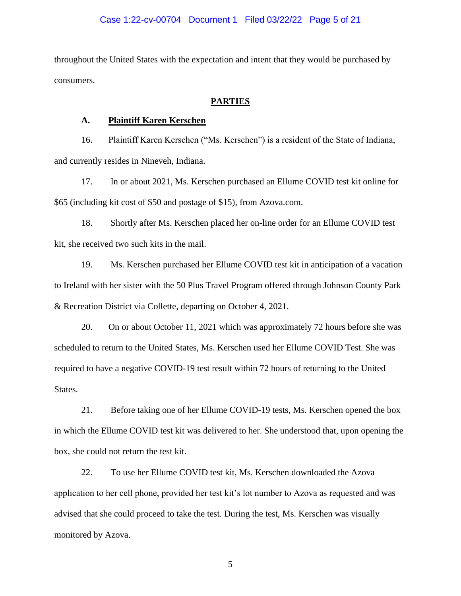## Case 1:22-cv-00704 Document 1 Filed 03/22/22 Page 5 of 21

throughout the United States with the expectation and intent that they would be purchased by consumers.

#### **PARTIES**

# **A. Plaintiff Karen Kerschen**

16. Plaintiff Karen Kerschen ("Ms. Kerschen") is a resident of the State of Indiana, and currently resides in Nineveh, Indiana.

17. In or about 2021, Ms. Kerschen purchased an Ellume COVID test kit online for \$65 (including kit cost of \$50 and postage of \$15), from Azova.com.

18. Shortly after Ms. Kerschen placed her on-line order for an Ellume COVID test kit, she received two such kits in the mail.

19. Ms. Kerschen purchased her Ellume COVID test kit in anticipation of a vacation to Ireland with her sister with the 50 Plus Travel Program offered through Johnson County Park & Recreation District via Collette, departing on October 4, 2021.

20. On or about October 11, 2021 which was approximately 72 hours before she was scheduled to return to the United States, Ms. Kerschen used her Ellume COVID Test. She was required to have a negative COVID-19 test result within 72 hours of returning to the United States.

21. Before taking one of her Ellume COVID-19 tests, Ms. Kerschen opened the box in which the Ellume COVID test kit was delivered to her. She understood that, upon opening the box, she could not return the test kit.

22. To use her Ellume COVID test kit, Ms. Kerschen downloaded the Azova application to her cell phone, provided her test kit's lot number to Azova as requested and was advised that she could proceed to take the test. During the test, Ms. Kerschen was visually monitored by Azova.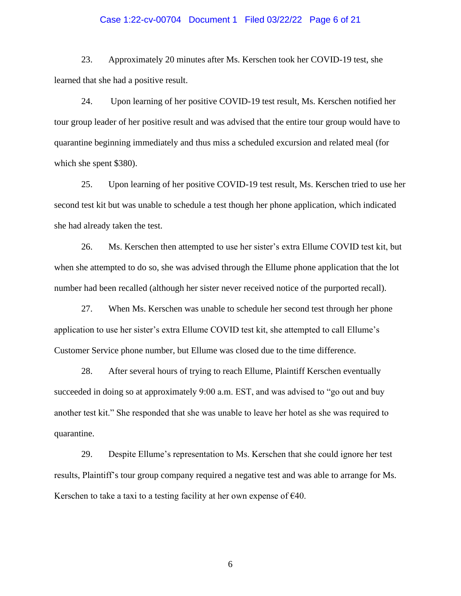# Case 1:22-cv-00704 Document 1 Filed 03/22/22 Page 6 of 21

23. Approximately 20 minutes after Ms. Kerschen took her COVID-19 test, she learned that she had a positive result.

24. Upon learning of her positive COVID-19 test result, Ms. Kerschen notified her tour group leader of her positive result and was advised that the entire tour group would have to quarantine beginning immediately and thus miss a scheduled excursion and related meal (for which she spent \$380).

25. Upon learning of her positive COVID-19 test result, Ms. Kerschen tried to use her second test kit but was unable to schedule a test though her phone application, which indicated she had already taken the test.

26. Ms. Kerschen then attempted to use her sister's extra Ellume COVID test kit, but when she attempted to do so, she was advised through the Ellume phone application that the lot number had been recalled (although her sister never received notice of the purported recall).

27. When Ms. Kerschen was unable to schedule her second test through her phone application to use her sister's extra Ellume COVID test kit, she attempted to call Ellume's Customer Service phone number, but Ellume was closed due to the time difference.

28. After several hours of trying to reach Ellume, Plaintiff Kerschen eventually succeeded in doing so at approximately 9:00 a.m. EST, and was advised to "go out and buy another test kit." She responded that she was unable to leave her hotel as she was required to quarantine.

29. Despite Ellume's representation to Ms. Kerschen that she could ignore her test results, Plaintiff's tour group company required a negative test and was able to arrange for Ms. Kerschen to take a taxi to a testing facility at her own expense of  $\epsilon$ 40.

 $\sim$  6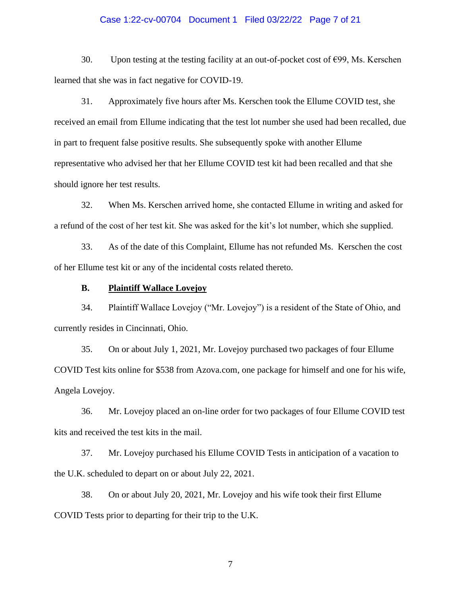# Case 1:22-cv-00704 Document 1 Filed 03/22/22 Page 7 of 21

30. Upon testing at the testing facility at an out-of-pocket cost of  $\epsilon$ 99, Ms. Kerschen learned that she was in fact negative for COVID-19.

31. Approximately five hours after Ms. Kerschen took the Ellume COVID test, she received an email from Ellume indicating that the test lot number she used had been recalled, due in part to frequent false positive results. She subsequently spoke with another Ellume representative who advised her that her Ellume COVID test kit had been recalled and that she should ignore her test results.

32. When Ms. Kerschen arrived home, she contacted Ellume in writing and asked for a refund of the cost of her test kit. She was asked for the kit's lot number, which she supplied.

33. As of the date of this Complaint, Ellume has not refunded Ms. Kerschen the cost of her Ellume test kit or any of the incidental costs related thereto.

# **B. Plaintiff Wallace Lovejoy**

34. Plaintiff Wallace Lovejoy ("Mr. Lovejoy") is a resident of the State of Ohio, and currently resides in Cincinnati, Ohio.

35. On or about July 1, 2021, Mr. Lovejoy purchased two packages of four Ellume COVID Test kits online for \$538 from Azova.com, one package for himself and one for his wife, Angela Lovejoy.

36. Mr. Lovejoy placed an on-line order for two packages of four Ellume COVID test kits and received the test kits in the mail.

37. Mr. Lovejoy purchased his Ellume COVID Tests in anticipation of a vacation to the U.K. scheduled to depart on or about July 22, 2021.

38. On or about July 20, 2021, Mr. Lovejoy and his wife took their first Ellume COVID Tests prior to departing for their trip to the U.K.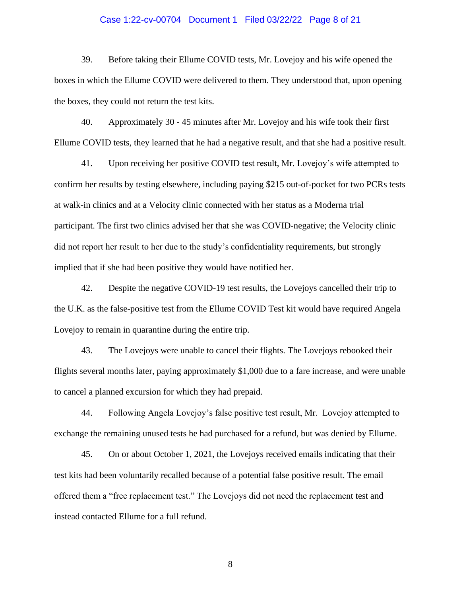# Case 1:22-cv-00704 Document 1 Filed 03/22/22 Page 8 of 21

39. Before taking their Ellume COVID tests, Mr. Lovejoy and his wife opened the boxes in which the Ellume COVID were delivered to them. They understood that, upon opening the boxes, they could not return the test kits.

40. Approximately 30 - 45 minutes after Mr. Lovejoy and his wife took their first Ellume COVID tests, they learned that he had a negative result, and that she had a positive result.

41. Upon receiving her positive COVID test result, Mr. Lovejoy's wife attempted to confirm her results by testing elsewhere, including paying \$215 out-of-pocket for two PCRs tests at walk-in clinics and at a Velocity clinic connected with her status as a Moderna trial participant. The first two clinics advised her that she was COVID-negative; the Velocity clinic did not report her result to her due to the study's confidentiality requirements, but strongly implied that if she had been positive they would have notified her.

42. Despite the negative COVID-19 test results, the Lovejoys cancelled their trip to the U.K. as the false-positive test from the Ellume COVID Test kit would have required Angela Lovejoy to remain in quarantine during the entire trip.

43. The Lovejoys were unable to cancel their flights. The Lovejoys rebooked their flights several months later, paying approximately \$1,000 due to a fare increase, and were unable to cancel a planned excursion for which they had prepaid.

44. Following Angela Lovejoy's false positive test result, Mr. Lovejoy attempted to exchange the remaining unused tests he had purchased for a refund, but was denied by Ellume.

45. On or about October 1, 2021, the Lovejoys received emails indicating that their test kits had been voluntarily recalled because of a potential false positive result. The email offered them a "free replacement test." The Lovejoys did not need the replacement test and instead contacted Ellume for a full refund.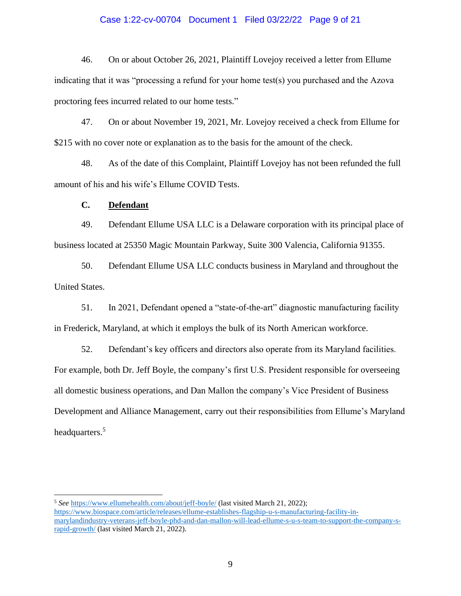# Case 1:22-cv-00704 Document 1 Filed 03/22/22 Page 9 of 21

46. On or about October 26, 2021, Plaintiff Lovejoy received a letter from Ellume indicating that it was "processing a refund for your home test(s) you purchased and the Azova proctoring fees incurred related to our home tests."

47. On or about November 19, 2021, Mr. Lovejoy received a check from Ellume for \$215 with no cover note or explanation as to the basis for the amount of the check.

48. As of the date of this Complaint, Plaintiff Lovejoy has not been refunded the full amount of his and his wife's Ellume COVID Tests.

**C. Defendant** 

49. Defendant Ellume USA LLC is a Delaware corporation with its principal place of business located at 25350 Magic Mountain Parkway, Suite 300 Valencia, California 91355.

50. Defendant Ellume USA LLC conducts business in Maryland and throughout the United States.

51. In 2021, Defendant opened a "state-of-the-art" diagnostic manufacturing facility in Frederick, Maryland, at which it employs the bulk of its North American workforce.

52. Defendant's key officers and directors also operate from its Maryland facilities. For example, both Dr. Jeff Boyle, the company's first U.S. President responsible for overseeing all domestic business operations, and Dan Mallon the company's Vice President of Business Development and Alliance Management, carry out their responsibilities from Ellume's Maryland headquarters.<sup>5</sup>

<sup>5</sup> *See* <https://www.ellumehealth.com/about/jeff-boyle/> (last visited March 21, 2022); [https://www.biospace.com/article/releases/ellume-establishes-flagship-u-s-manufacturing-facility-in](https://www.biospace.com/article/releases/ellume-establishes-flagship-u-s-manufacturing-facility-in-marylandindustry-veterans-jeff-boyle-phd-and-dan-mallon-will-lead-ellume-s-u-s-team-to-support-the-company-s-rapid-growth/)[marylandindustry-veterans-jeff-boyle-phd-and-dan-mallon-will-lead-ellume-s-u-s-team-to-support-the-company-s](https://www.biospace.com/article/releases/ellume-establishes-flagship-u-s-manufacturing-facility-in-marylandindustry-veterans-jeff-boyle-phd-and-dan-mallon-will-lead-ellume-s-u-s-team-to-support-the-company-s-rapid-growth/)[rapid-growth/](https://www.biospace.com/article/releases/ellume-establishes-flagship-u-s-manufacturing-facility-in-marylandindustry-veterans-jeff-boyle-phd-and-dan-mallon-will-lead-ellume-s-u-s-team-to-support-the-company-s-rapid-growth/) (last visited March 21, 2022).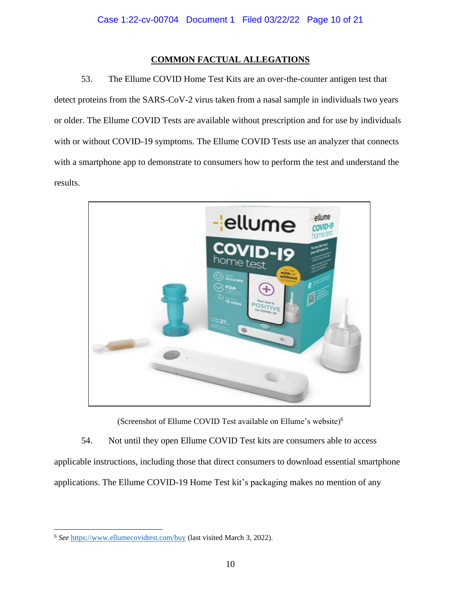# **COMMON FACTUAL ALLEGATIONS**

53. The Ellume COVID Home Test Kits are an over-the-counter antigen test that detect proteins from the SARS-CoV-2 virus taken from a nasal sample in individuals two years or older. The Ellume COVID Tests are available without prescription and for use by individuals with or without COVID-19 symptoms. The Ellume COVID Tests use an analyzer that connects with a smartphone app to demonstrate to consumers how to perform the test and understand the results.



(Screenshot of Ellume COVID Test available on Ellume's website)<sup>6</sup>

54. Not until they open Ellume COVID Test kits are consumers able to access applicable instructions, including those that direct consumers to download essential smartphone applications. The Ellume COVID-19 Home Test kit's packaging makes no mention of any

<sup>6</sup> *See* <https://www.ellumecovidtest.com/buy> (last visited March 3, 2022).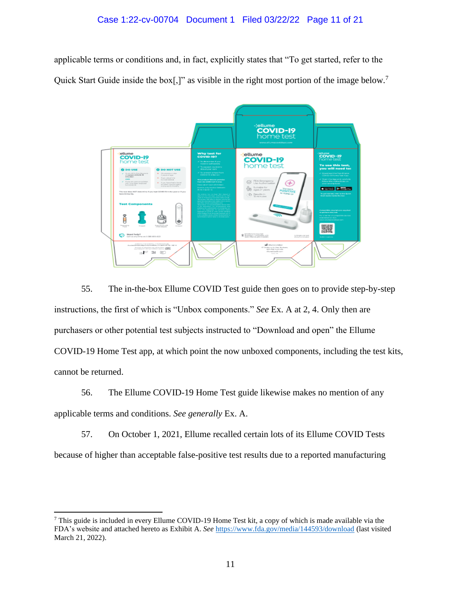applicable terms or conditions and, in fact, explicitly states that "To get started, refer to the Quick Start Guide inside the box[,]" as visible in the right most portion of the image below.<sup>7</sup>



55. The in-the-box Ellume COVID Test guide then goes on to provide step-by-step instructions, the first of which is "Unbox components." *See* Ex. A at 2, 4. Only then are purchasers or other potential test subjects instructed to "Download and open" the Ellume COVID-19 Home Test app, at which point the now unboxed components, including the test kits, cannot be returned.

56. The Ellume COVID-19 Home Test guide likewise makes no mention of any applicable terms and conditions. *See generally* Ex. A.

57. On October 1, 2021, Ellume recalled certain lots of its Ellume COVID Tests because of higher than acceptable false-positive test results due to a reported manufacturing

<sup>7</sup> This guide is included in every Ellume COVID-19 Home Test kit, a copy of which is made available via the FDA's website and attached hereto as Exhibit A. *See* <https://www.fda.gov/media/144593/download> (last visited March 21, 2022).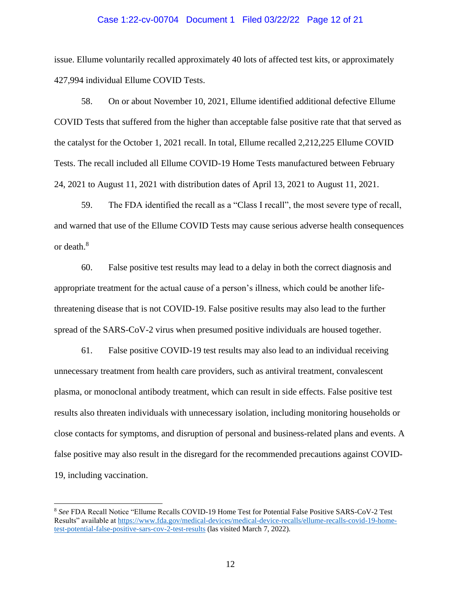#### Case 1:22-cv-00704 Document 1 Filed 03/22/22 Page 12 of 21

issue. Ellume voluntarily recalled approximately 40 lots of affected test kits, or approximately 427,994 individual Ellume COVID Tests.

58. On or about November 10, 2021, Ellume identified additional defective Ellume COVID Tests that suffered from the higher than acceptable false positive rate that that served as the catalyst for the October 1, 2021 recall. In total, Ellume recalled 2,212,225 Ellume COVID Tests. The recall included all Ellume COVID-19 Home Tests manufactured between February 24, 2021 to August 11, 2021 with distribution dates of April 13, 2021 to August 11, 2021.

59. The FDA identified the recall as a "Class I recall", the most severe type of recall, and warned that use of the Ellume COVID Tests may cause serious adverse health consequences or death.<sup>8</sup>

60. False positive test results may lead to a delay in both the correct diagnosis and appropriate treatment for the actual cause of a person's illness, which could be another lifethreatening disease that is not COVID-19. False positive results may also lead to the further spread of the SARS-CoV-2 virus when presumed positive individuals are housed together.

61. False positive COVID-19 test results may also lead to an individual receiving unnecessary treatment from health care providers, such as antiviral treatment, convalescent plasma, or monoclonal antibody treatment, which can result in side effects. False positive test results also threaten individuals with unnecessary isolation, including monitoring households or close contacts for symptoms, and disruption of personal and business-related plans and events. A false positive may also result in the disregard for the recommended precautions against COVID-19, including vaccination.

<sup>8</sup> *See* FDA Recall Notice "Ellume Recalls COVID-19 Home Test for Potential False Positive SARS-CoV-2 Test Results" available a[t https://www.fda.gov/medical-devices/medical-device-recalls/ellume-recalls-covid-19-home](https://www.fda.gov/medical-devices/medical-device-recalls/ellume-recalls-covid-19-home-test-potential-false-positive-sars-cov-2-test-results)[test-potential-false-positive-sars-cov-2-test-results](https://www.fda.gov/medical-devices/medical-device-recalls/ellume-recalls-covid-19-home-test-potential-false-positive-sars-cov-2-test-results) (las visited March 7, 2022).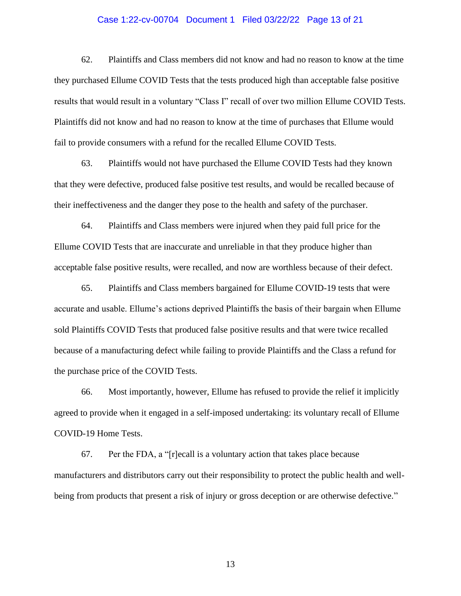# Case 1:22-cv-00704 Document 1 Filed 03/22/22 Page 13 of 21

62. Plaintiffs and Class members did not know and had no reason to know at the time they purchased Ellume COVID Tests that the tests produced high than acceptable false positive results that would result in a voluntary "Class I" recall of over two million Ellume COVID Tests. Plaintiffs did not know and had no reason to know at the time of purchases that Ellume would fail to provide consumers with a refund for the recalled Ellume COVID Tests.

63. Plaintiffs would not have purchased the Ellume COVID Tests had they known that they were defective, produced false positive test results, and would be recalled because of their ineffectiveness and the danger they pose to the health and safety of the purchaser.

64. Plaintiffs and Class members were injured when they paid full price for the Ellume COVID Tests that are inaccurate and unreliable in that they produce higher than acceptable false positive results, were recalled, and now are worthless because of their defect.

65. Plaintiffs and Class members bargained for Ellume COVID-19 tests that were accurate and usable. Ellume's actions deprived Plaintiffs the basis of their bargain when Ellume sold Plaintiffs COVID Tests that produced false positive results and that were twice recalled because of a manufacturing defect while failing to provide Plaintiffs and the Class a refund for the purchase price of the COVID Tests.

66. Most importantly, however, Ellume has refused to provide the relief it implicitly agreed to provide when it engaged in a self-imposed undertaking: its voluntary recall of Ellume COVID-19 Home Tests.

67. Per the FDA, a "[r]ecall is a voluntary action that takes place because manufacturers and distributors carry out their responsibility to protect the public health and wellbeing from products that present a risk of injury or gross deception or are otherwise defective."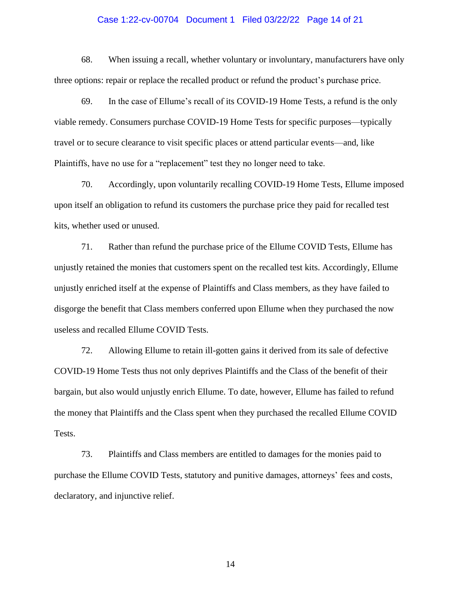# Case 1:22-cv-00704 Document 1 Filed 03/22/22 Page 14 of 21

68. When issuing a recall, whether voluntary or involuntary, manufacturers have only three options: repair or replace the recalled product or refund the product's purchase price.

69. In the case of Ellume's recall of its COVID-19 Home Tests, a refund is the only viable remedy. Consumers purchase COVID-19 Home Tests for specific purposes—typically travel or to secure clearance to visit specific places or attend particular events—and, like Plaintiffs, have no use for a "replacement" test they no longer need to take.

70. Accordingly, upon voluntarily recalling COVID-19 Home Tests, Ellume imposed upon itself an obligation to refund its customers the purchase price they paid for recalled test kits, whether used or unused.

71. Rather than refund the purchase price of the Ellume COVID Tests, Ellume has unjustly retained the monies that customers spent on the recalled test kits. Accordingly, Ellume unjustly enriched itself at the expense of Plaintiffs and Class members, as they have failed to disgorge the benefit that Class members conferred upon Ellume when they purchased the now useless and recalled Ellume COVID Tests.

72. Allowing Ellume to retain ill-gotten gains it derived from its sale of defective COVID-19 Home Tests thus not only deprives Plaintiffs and the Class of the benefit of their bargain, but also would unjustly enrich Ellume. To date, however, Ellume has failed to refund the money that Plaintiffs and the Class spent when they purchased the recalled Ellume COVID Tests.

73. Plaintiffs and Class members are entitled to damages for the monies paid to purchase the Ellume COVID Tests, statutory and punitive damages, attorneys' fees and costs, declaratory, and injunctive relief.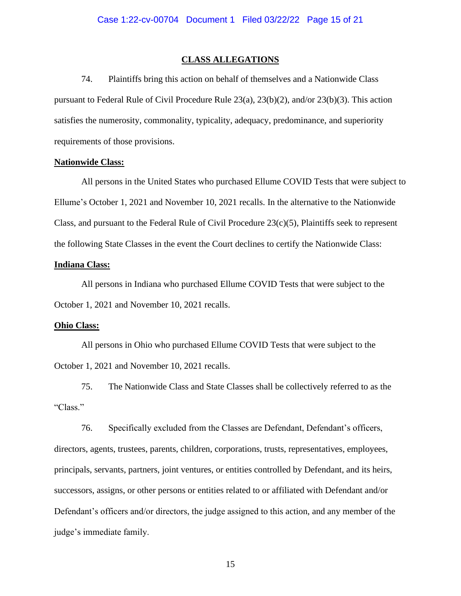#### **CLASS ALLEGATIONS**

74. Plaintiffs bring this action on behalf of themselves and a Nationwide Class pursuant to Federal Rule of Civil Procedure Rule 23(a), 23(b)(2), and/or 23(b)(3). This action satisfies the numerosity, commonality, typicality, adequacy, predominance, and superiority requirements of those provisions.

#### **Nationwide Class:**

All persons in the United States who purchased Ellume COVID Tests that were subject to Ellume's October 1, 2021 and November 10, 2021 recalls. In the alternative to the Nationwide Class, and pursuant to the Federal Rule of Civil Procedure 23(c)(5), Plaintiffs seek to represent the following State Classes in the event the Court declines to certify the Nationwide Class:

# **Indiana Class:**

All persons in Indiana who purchased Ellume COVID Tests that were subject to the October 1, 2021 and November 10, 2021 recalls.

#### **Ohio Class:**

All persons in Ohio who purchased Ellume COVID Tests that were subject to the October 1, 2021 and November 10, 2021 recalls.

75. The Nationwide Class and State Classes shall be collectively referred to as the "Class."

76. Specifically excluded from the Classes are Defendant, Defendant's officers, directors, agents, trustees, parents, children, corporations, trusts, representatives, employees, principals, servants, partners, joint ventures, or entities controlled by Defendant, and its heirs, successors, assigns, or other persons or entities related to or affiliated with Defendant and/or Defendant's officers and/or directors, the judge assigned to this action, and any member of the judge's immediate family.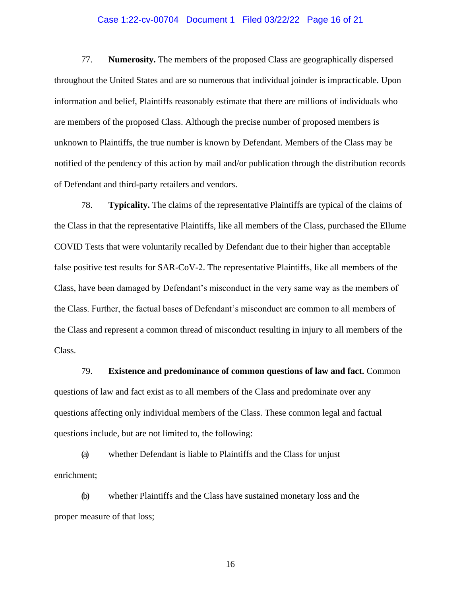# Case 1:22-cv-00704 Document 1 Filed 03/22/22 Page 16 of 21

77. **Numerosity.** The members of the proposed Class are geographically dispersed throughout the United States and are so numerous that individual joinder is impracticable. Upon information and belief, Plaintiffs reasonably estimate that there are millions of individuals who are members of the proposed Class. Although the precise number of proposed members is unknown to Plaintiffs, the true number is known by Defendant. Members of the Class may be notified of the pendency of this action by mail and/or publication through the distribution records of Defendant and third-party retailers and vendors.

78. **Typicality.** The claims of the representative Plaintiffs are typical of the claims of the Class in that the representative Plaintiffs, like all members of the Class, purchased the Ellume COVID Tests that were voluntarily recalled by Defendant due to their higher than acceptable false positive test results for SAR-CoV-2. The representative Plaintiffs, like all members of the Class, have been damaged by Defendant's misconduct in the very same way as the members of the Class. Further, the factual bases of Defendant's misconduct are common to all members of the Class and represent a common thread of misconduct resulting in injury to all members of the Class.

79. **Existence and predominance of common questions of law and fact.** Common questions of law and fact exist as to all members of the Class and predominate over any questions affecting only individual members of the Class. These common legal and factual questions include, but are not limited to, the following:

(a) whether Defendant is liable to Plaintiffs and the Class for unjust enrichment;

(b) whether Plaintiffs and the Class have sustained monetary loss and the proper measure of that loss;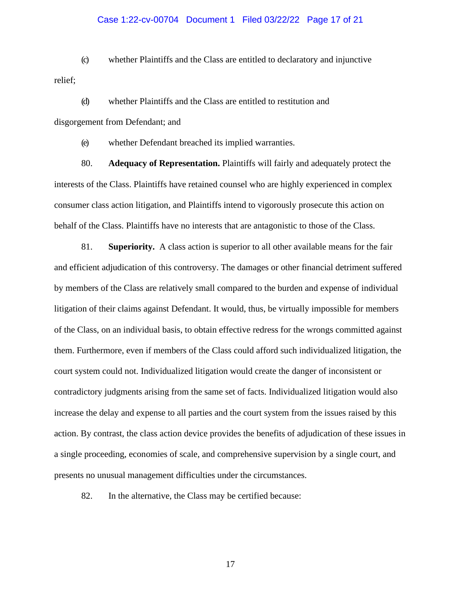## Case 1:22-cv-00704 Document 1 Filed 03/22/22 Page 17 of 21

(c) whether Plaintiffs and the Class are entitled to declaratory and injunctive relief;

(d) whether Plaintiffs and the Class are entitled to restitution and disgorgement from Defendant; and

(e) whether Defendant breached its implied warranties.

80. **Adequacy of Representation.** Plaintiffs will fairly and adequately protect the interests of the Class. Plaintiffs have retained counsel who are highly experienced in complex consumer class action litigation, and Plaintiffs intend to vigorously prosecute this action on behalf of the Class. Plaintiffs have no interests that are antagonistic to those of the Class.

81. **Superiority.** A class action is superior to all other available means for the fair and efficient adjudication of this controversy. The damages or other financial detriment suffered by members of the Class are relatively small compared to the burden and expense of individual litigation of their claims against Defendant. It would, thus, be virtually impossible for members of the Class, on an individual basis, to obtain effective redress for the wrongs committed against them. Furthermore, even if members of the Class could afford such individualized litigation, the court system could not. Individualized litigation would create the danger of inconsistent or contradictory judgments arising from the same set of facts. Individualized litigation would also increase the delay and expense to all parties and the court system from the issues raised by this action. By contrast, the class action device provides the benefits of adjudication of these issues in a single proceeding, economies of scale, and comprehensive supervision by a single court, and presents no unusual management difficulties under the circumstances.

82. In the alternative, the Class may be certified because: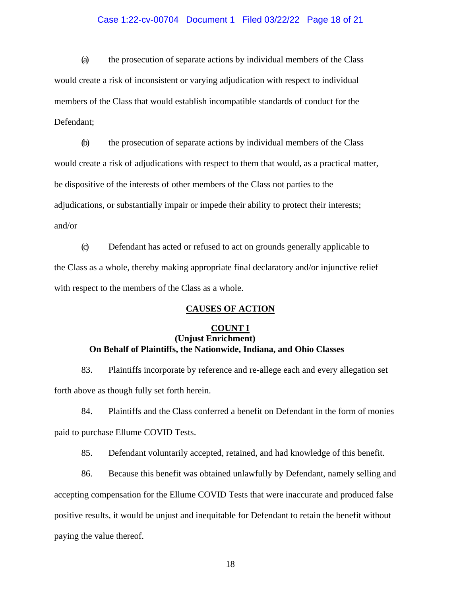# Case 1:22-cv-00704 Document 1 Filed 03/22/22 Page 18 of 21

(a) the prosecution of separate actions by individual members of the Class would create a risk of inconsistent or varying adjudication with respect to individual members of the Class that would establish incompatible standards of conduct for the Defendant;

(b) the prosecution of separate actions by individual members of the Class would create a risk of adjudications with respect to them that would, as a practical matter, be dispositive of the interests of other members of the Class not parties to the adjudications, or substantially impair or impede their ability to protect their interests; and/or

(c) Defendant has acted or refused to act on grounds generally applicable to the Class as a whole, thereby making appropriate final declaratory and/or injunctive relief with respect to the members of the Class as a whole.

# **CAUSES OF ACTION**

# **COUNT I (Unjust Enrichment) On Behalf of Plaintiffs, the Nationwide, Indiana, and Ohio Classes**

83. Plaintiffs incorporate by reference and re-allege each and every allegation set forth above as though fully set forth herein.

84. Plaintiffs and the Class conferred a benefit on Defendant in the form of monies paid to purchase Ellume COVID Tests.

85. Defendant voluntarily accepted, retained, and had knowledge of this benefit.

86. Because this benefit was obtained unlawfully by Defendant, namely selling and accepting compensation for the Ellume COVID Tests that were inaccurate and produced false positive results, it would be unjust and inequitable for Defendant to retain the benefit without paying the value thereof.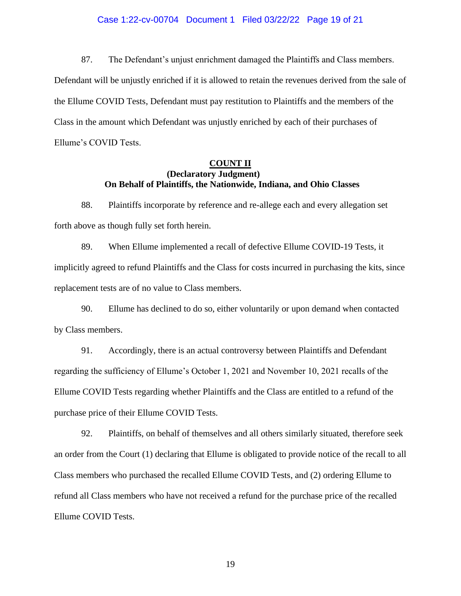# Case 1:22-cv-00704 Document 1 Filed 03/22/22 Page 19 of 21

87. The Defendant's unjust enrichment damaged the Plaintiffs and Class members. Defendant will be unjustly enriched if it is allowed to retain the revenues derived from the sale of the Ellume COVID Tests, Defendant must pay restitution to Plaintiffs and the members of the Class in the amount which Defendant was unjustly enriched by each of their purchases of Ellume's COVID Tests.

# **COUNT II (Declaratory Judgment) On Behalf of Plaintiffs, the Nationwide, Indiana, and Ohio Classes**

88. Plaintiffs incorporate by reference and re-allege each and every allegation set forth above as though fully set forth herein.

89. When Ellume implemented a recall of defective Ellume COVID-19 Tests, it implicitly agreed to refund Plaintiffs and the Class for costs incurred in purchasing the kits, since replacement tests are of no value to Class members.

90. Ellume has declined to do so, either voluntarily or upon demand when contacted by Class members.

91. Accordingly, there is an actual controversy between Plaintiffs and Defendant regarding the sufficiency of Ellume's October 1, 2021 and November 10, 2021 recalls of the Ellume COVID Tests regarding whether Plaintiffs and the Class are entitled to a refund of the purchase price of their Ellume COVID Tests.

92. Plaintiffs, on behalf of themselves and all others similarly situated, therefore seek an order from the Court (1) declaring that Ellume is obligated to provide notice of the recall to all Class members who purchased the recalled Ellume COVID Tests, and (2) ordering Ellume to refund all Class members who have not received a refund for the purchase price of the recalled Ellume COVID Tests.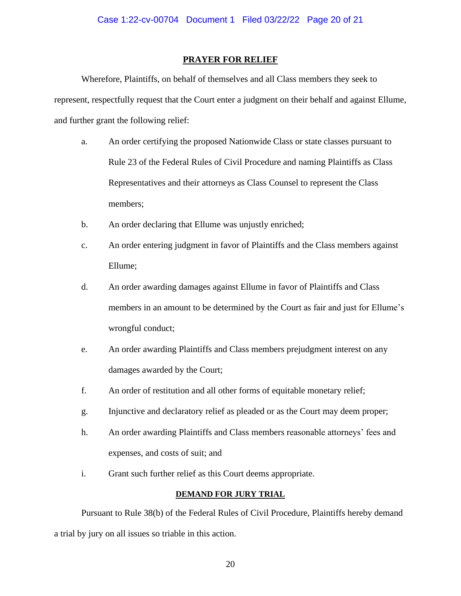#### **PRAYER FOR RELIEF**

Wherefore, Plaintiffs, on behalf of themselves and all Class members they seek to represent, respectfully request that the Court enter a judgment on their behalf and against Ellume, and further grant the following relief:

- a. An order certifying the proposed Nationwide Class or state classes pursuant to Rule 23 of the Federal Rules of Civil Procedure and naming Plaintiffs as Class Representatives and their attorneys as Class Counsel to represent the Class members;
- b. An order declaring that Ellume was unjustly enriched;
- c. An order entering judgment in favor of Plaintiffs and the Class members against Ellume;
- d. An order awarding damages against Ellume in favor of Plaintiffs and Class members in an amount to be determined by the Court as fair and just for Ellume's wrongful conduct;
- e. An order awarding Plaintiffs and Class members prejudgment interest on any damages awarded by the Court;
- f. An order of restitution and all other forms of equitable monetary relief;
- g. Injunctive and declaratory relief as pleaded or as the Court may deem proper;
- h. An order awarding Plaintiffs and Class members reasonable attorneys' fees and expenses, and costs of suit; and
- i. Grant such further relief as this Court deems appropriate.

# **DEMAND FOR JURY TRIAL**

Pursuant to Rule 38(b) of the Federal Rules of Civil Procedure, Plaintiffs hereby demand a trial by jury on all issues so triable in this action.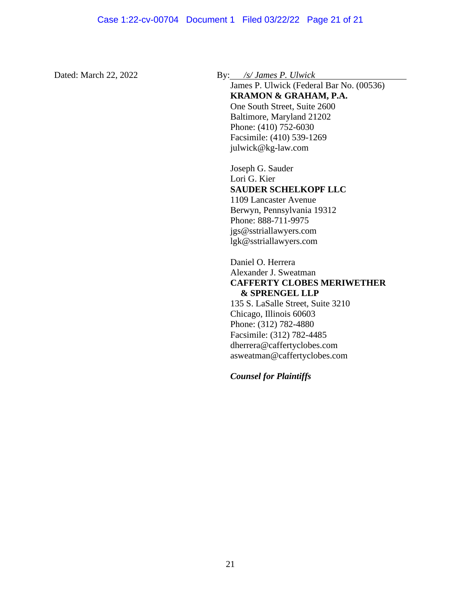Dated: March 22, 2022 By: */s/ James P. Ulwick*

James P. Ulwick (Federal Bar No. (00536) **KRAMON & GRAHAM, P.A.** One South Street, Suite 2600 Baltimore, Maryland 21202 Phone: (410) 752-6030 Facsimile: (410) 539-1269 [julwick@kg-law.com](mailto:julwick@kg-law.com)

Joseph G. Sauder Lori G. Kier **SAUDER SCHELKOPF LLC** 1109 Lancaster Avenue Berwyn, Pennsylvania 19312 Phone: 888-711-9975 [jgs@sstriallawyers.com](mailto:jgs@sstriallawyers.com) [lgk@sstriallawyers.com](mailto:lgk@sstriallawyers.com)

Daniel O. Herrera Alexander J. Sweatman **CAFFERTY CLOBES MERIWETHER & SPRENGEL LLP** 135 S. LaSalle Street, Suite 3210 Chicago, Illinois 60603 Phone: (312) 782-4880 Facsimile: (312) 782-4485 [dherrera@caffertyclobes.com](mailto:dherrera@caffertyclobes.com) [asweatman@caffertyclobes.com](mailto:asweatman@caffertyclobes.com)

*Counsel for Plaintiffs*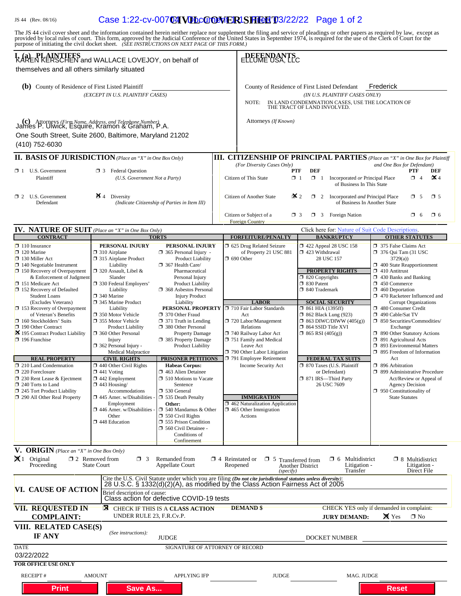# JS 44 (Rev. 08/16) **Case 1:22-cv-007 04 VU LCO OF RISHEET** 03/22/22 Page 1 of 2

| The JS 44 civil cover sheet and the information contained herein neither replace nor supplement the filing and service of pleadings or other papers as required by law, except as provided by local rules of court. This form,<br>purpose of initiating the civil docket sheet. (SEE INSTRUCTIONS ON NEXT PAGE OF THIS FORM.)                                                                                                                                                                                                                                                                                                                                                                                    |                                                                                                                                                                                                                                                                                                                                                                                                                                                                                                                                                                                                                                                        |                                                                                                                                                                                                                                                                                                                                                                                                                                                                                                                                                                                                                                                                                                                                                     |                                                 |                                                                                                                                                                                                                                                                                                                                                                                         |                               |                                                                              |                                                                                                                                                                                                                                                                                                                                                                                                       |              |                                                                                                                                                                                                                                                 |                                                                                                                                                                                                                                                                                                                                                                                                                       |          |
|------------------------------------------------------------------------------------------------------------------------------------------------------------------------------------------------------------------------------------------------------------------------------------------------------------------------------------------------------------------------------------------------------------------------------------------------------------------------------------------------------------------------------------------------------------------------------------------------------------------------------------------------------------------------------------------------------------------|--------------------------------------------------------------------------------------------------------------------------------------------------------------------------------------------------------------------------------------------------------------------------------------------------------------------------------------------------------------------------------------------------------------------------------------------------------------------------------------------------------------------------------------------------------------------------------------------------------------------------------------------------------|-----------------------------------------------------------------------------------------------------------------------------------------------------------------------------------------------------------------------------------------------------------------------------------------------------------------------------------------------------------------------------------------------------------------------------------------------------------------------------------------------------------------------------------------------------------------------------------------------------------------------------------------------------------------------------------------------------------------------------------------------------|-------------------------------------------------|-----------------------------------------------------------------------------------------------------------------------------------------------------------------------------------------------------------------------------------------------------------------------------------------------------------------------------------------------------------------------------------------|-------------------------------|------------------------------------------------------------------------------|-------------------------------------------------------------------------------------------------------------------------------------------------------------------------------------------------------------------------------------------------------------------------------------------------------------------------------------------------------------------------------------------------------|--------------|-------------------------------------------------------------------------------------------------------------------------------------------------------------------------------------------------------------------------------------------------|-----------------------------------------------------------------------------------------------------------------------------------------------------------------------------------------------------------------------------------------------------------------------------------------------------------------------------------------------------------------------------------------------------------------------|----------|
| I, (a) PLAINTIFFS<br>KAREN KERSCHEN and WALLACE LOVEJOY, on behalf of<br>themselves and all others similarly situated                                                                                                                                                                                                                                                                                                                                                                                                                                                                                                                                                                                            | <b>ELLUME USA, LLC</b>                                                                                                                                                                                                                                                                                                                                                                                                                                                                                                                                                                                                                                 |                                                                                                                                                                                                                                                                                                                                                                                                                                                                                                                                                                                                                                                                                                                                                     |                                                 |                                                                                                                                                                                                                                                                                                                                                                                         |                               |                                                                              |                                                                                                                                                                                                                                                                                                                                                                                                       |              |                                                                                                                                                                                                                                                 |                                                                                                                                                                                                                                                                                                                                                                                                                       |          |
| (b) County of Residence of First Listed Plaintiff<br>(EXCEPT IN U.S. PLAINTIFF CASES)                                                                                                                                                                                                                                                                                                                                                                                                                                                                                                                                                                                                                            |                                                                                                                                                                                                                                                                                                                                                                                                                                                                                                                                                                                                                                                        |                                                                                                                                                                                                                                                                                                                                                                                                                                                                                                                                                                                                                                                                                                                                                     |                                                 | Frederick<br>County of Residence of First Listed Defendant<br>(IN U.S. PLAINTIFF CASES ONLY)<br>IN LAND CONDEMNATION CASES, USE THE LOCATION OF<br>NOTE:<br>THE TRACT OF LAND INVOLVED.                                                                                                                                                                                                 |                               |                                                                              |                                                                                                                                                                                                                                                                                                                                                                                                       |              |                                                                                                                                                                                                                                                 |                                                                                                                                                                                                                                                                                                                                                                                                                       |          |
| (c) Attorneys (Firm Name, Address, and Telephone Number)<br>James P. Ulwick, Esquire, Kramon & Graham, P.A.<br>One South Street, Suite 2600, Baltimore, Maryland 21202<br>(410) 752-6030                                                                                                                                                                                                                                                                                                                                                                                                                                                                                                                         |                                                                                                                                                                                                                                                                                                                                                                                                                                                                                                                                                                                                                                                        |                                                                                                                                                                                                                                                                                                                                                                                                                                                                                                                                                                                                                                                                                                                                                     |                                                 | Attorneys (If Known)                                                                                                                                                                                                                                                                                                                                                                    |                               |                                                                              |                                                                                                                                                                                                                                                                                                                                                                                                       |              |                                                                                                                                                                                                                                                 |                                                                                                                                                                                                                                                                                                                                                                                                                       |          |
| <b>II. BASIS OF JURISDICTION</b> (Place an "X" in One Box Only)                                                                                                                                                                                                                                                                                                                                                                                                                                                                                                                                                                                                                                                  |                                                                                                                                                                                                                                                                                                                                                                                                                                                                                                                                                                                                                                                        |                                                                                                                                                                                                                                                                                                                                                                                                                                                                                                                                                                                                                                                                                                                                                     |                                                 | <b>III. CITIZENSHIP OF PRINCIPAL PARTIES</b> (Place an "X" in One Box for Plaintiff                                                                                                                                                                                                                                                                                                     |                               |                                                                              |                                                                                                                                                                                                                                                                                                                                                                                                       |              |                                                                                                                                                                                                                                                 |                                                                                                                                                                                                                                                                                                                                                                                                                       |          |
| $\Box$ 1 U.S. Government<br><b>1</b> 3 Federal Question<br>Plaintiff<br>(U.S. Government Not a Party)                                                                                                                                                                                                                                                                                                                                                                                                                                                                                                                                                                                                            |                                                                                                                                                                                                                                                                                                                                                                                                                                                                                                                                                                                                                                                        |                                                                                                                                                                                                                                                                                                                                                                                                                                                                                                                                                                                                                                                                                                                                                     |                                                 | (For Diversity Cases Only)<br>and One Box for Defendant)<br>DEF<br><b>PTF</b><br><b>PTF</b><br>DEF<br>$\mathbb{X}4$<br>$\Box$ 1<br>$\Box$ 4<br>Citizen of This State<br>$\Box$ 1<br>Incorporated or Principal Place<br>of Business In This State                                                                                                                                        |                               |                                                                              |                                                                                                                                                                                                                                                                                                                                                                                                       |              |                                                                                                                                                                                                                                                 |                                                                                                                                                                                                                                                                                                                                                                                                                       |          |
| $\Box$ 2 U.S. Government<br>Defendant                                                                                                                                                                                                                                                                                                                                                                                                                                                                                                                                                                                                                                                                            | $\blacktriangleright$ 4 Diversity<br>(Indicate Citizenship of Parties in Item III)                                                                                                                                                                                                                                                                                                                                                                                                                                                                                                                                                                     |                                                                                                                                                                                                                                                                                                                                                                                                                                                                                                                                                                                                                                                                                                                                                     | $\mathbf{\times} 2$<br>Citizen of Another State |                                                                                                                                                                                                                                                                                                                                                                                         |                               | $\Box$ 2<br>Incorporated and Principal Place<br>of Business In Another State |                                                                                                                                                                                                                                                                                                                                                                                                       |              | $\Box$ 5                                                                                                                                                                                                                                        | $\square$ 5                                                                                                                                                                                                                                                                                                                                                                                                           |          |
|                                                                                                                                                                                                                                                                                                                                                                                                                                                                                                                                                                                                                                                                                                                  |                                                                                                                                                                                                                                                                                                                                                                                                                                                                                                                                                                                                                                                        |                                                                                                                                                                                                                                                                                                                                                                                                                                                                                                                                                                                                                                                                                                                                                     |                                                 | Citizen or Subject of a<br><b>Foreign Country</b>                                                                                                                                                                                                                                                                                                                                       | $\Box$ 3                      |                                                                              | $\Box$ 3 Foreign Nation                                                                                                                                                                                                                                                                                                                                                                               |              |                                                                                                                                                                                                                                                 | $\Box$ 6                                                                                                                                                                                                                                                                                                                                                                                                              | $\Box$ 6 |
| <b>IV. NATURE OF SUIT</b> (Place an "X" in One Box Only)<br><b>CONTRACT</b>                                                                                                                                                                                                                                                                                                                                                                                                                                                                                                                                                                                                                                      |                                                                                                                                                                                                                                                                                                                                                                                                                                                                                                                                                                                                                                                        | <b>TORTS</b>                                                                                                                                                                                                                                                                                                                                                                                                                                                                                                                                                                                                                                                                                                                                        |                                                 | <b>FORFEITURE/PENALTY</b>                                                                                                                                                                                                                                                                                                                                                               |                               |                                                                              | Click here for. Nature of Suit Code Descriptions.<br><b>BANKRUPTCY</b>                                                                                                                                                                                                                                                                                                                                |              |                                                                                                                                                                                                                                                 | <b>OTHER STATUTES</b>                                                                                                                                                                                                                                                                                                                                                                                                 |          |
| $\Box$ 110 Insurance<br>$\Box$ 120 Marine<br>$\Box$ 130 Miller Act<br>$\Box$ 140 Negotiable Instrument<br>$\Box$ 150 Recovery of Overpayment<br>& Enforcement of Judgment<br>$\Box$ 151 Medicare Act<br>$\Box$ 152 Recovery of Defaulted<br><b>Student Loans</b><br>(Excludes Veterans)<br>$\Box$ 153 Recovery of Overpayment<br>of Veteran's Benefits<br>$\Box$ 160 Stockholders' Suits<br>$\Box$ 190 Other Contract<br>3 195 Contract Product Liability<br>$\Box$ 196 Franchise<br><b>REAL PROPERTY</b><br>$\Box$ 210 Land Condemnation<br>$\Box$ 220 Foreclosure<br>□ 230 Rent Lease & Ejectment<br>$\Box$ 240 Torts to Land<br>$\square$ 245 Tort Product Liability<br>$\square$ 290 All Other Real Property | PERSONAL INJURY<br>$\Box$ 310 Airplane<br>□ 315 Airplane Product<br>Liability<br>$\Box$ 320 Assault, Libel &<br>Slander<br>□ 330 Federal Employers'<br>Liability<br>$\Box$ 340 Marine<br>345 Marine Product<br>Liability<br>□ 350 Motor Vehicle<br>□ 355 Motor Vehicle<br><b>Product Liability</b><br>360 Other Personal<br>Injury<br>$\Box$ 362 Personal Injury -<br>Medical Malpractice<br><b>CIVIL RIGHTS</b><br>$\Box$ 440 Other Civil Rights<br>$\Box$ 441 Voting<br>$\Box$ 442 Employment<br>$\Box$ 443 Housing/<br>Accommodations<br>$\Box$ 445 Amer. w/Disabilities<br>Employment<br>$\Box$ 446 Amer. w/Disabilities<br>Other<br>448 Education | PERSONAL INJURY<br>$\Box$ 365 Personal Injury -<br><b>Product Liability</b><br>367 Health Care/<br>Pharmaceutical<br>Personal Injury<br><b>Product Liability</b><br>□ 368 Asbestos Personal<br><b>Injury Product</b><br>Liability<br><b>PERSONAL PROPERTY</b> J 710 Fair Labor Standards<br>370 Other Fraud<br>$\Box$ 371 Truth in Lending<br>380 Other Personal<br><b>Property Damage</b><br>□ 385 Property Damage<br><b>Product Liability</b><br>PRISONER PETITIONS<br><b>Habeas Corpus:</b><br>1 463 Alien Detainee<br>510 Motions to Vacate<br>Sentence<br>530 General<br>535 Death Penalty<br>Other:<br>$\Box$ 540 Mandamus & Other<br>$\Box$ 550 Civil Rights<br>555 Prison Condition<br>560 Civil Detainee -<br>Conditions of<br>Confinement |                                                 | □ 625 Drug Related Seizure<br>of Property 21 USC 881<br>$\Box$ 690 Other<br><b>LABOR</b><br>Act<br>720 Labor/Management<br>Relations<br>740 Railway Labor Act<br>751 Family and Medical<br>Leave Act<br>790 Other Labor Litigation<br>791 Employee Retirement<br>Income Security Act<br><b>IMMIGRATION</b><br>462 Naturalization Application<br>$\Box$ 465 Other Immigration<br>Actions |                               | $\Box$ 820 Copyrights<br>□ 830 Patent<br>□ 840 Trademark                     | 1422 Appeal 28 USC 158<br>$\Box$ 423 Withdrawal<br>28 USC 157<br><b>PROPERTY RIGHTS</b><br><b>SOCIAL SECURITY</b><br>$\Box$ 861 HIA (1395ff)<br><b>1 862 Black Lung (923)</b><br>$\Box$ 863 DIWC/DIWW (405(g))<br>$\Box$ 864 SSID Title XVI<br>$\Box$ 865 RSI (405(g))<br><b>FEDERAL TAX SUITS</b><br><sup>1</sup> 870 Taxes (U.S. Plaintiff<br>or Defendant)<br>□ 871 IRS-Third Party<br>26 USC 7609 |              | 375 False Claims Act<br>3729(a)<br>$\Box$ 410 Antitrust<br>$\Box$ 450 Commerce<br>$\Box$ 460 Deportation<br>480 Consumer Credit<br>490 Cable/Sat TV<br>Exchange<br>□ 891 Agricultural Acts<br>Act<br>□ 896 Arbitration<br><b>State Statutes</b> | $\Box$ 376 Qui Tam (31 USC)<br>400 State Reapportionment<br>1 430 Banks and Banking<br>□ 470 Racketeer Influenced and<br><b>Corrupt Organizations</b><br>□ 850 Securities/Commodities/<br>□ 890 Other Statutory Actions<br>□ 893 Environmental Matters<br>$\Box$ 895 Freedom of Information<br>□ 899 Administrative Procedure<br>Act/Review or Appeal of<br><b>Agency Decision</b><br>$\Box$ 950 Constitutionality of |          |
| V. ORIGIN (Place an "X" in One Box Only)<br>$\mathbf{X}$ 1 Original<br>Proceeding                                                                                                                                                                                                                                                                                                                                                                                                                                                                                                                                                                                                                                | $\square$ 2 Removed from<br>$\Box$ 3<br><b>State Court</b>                                                                                                                                                                                                                                                                                                                                                                                                                                                                                                                                                                                             | Remanded from<br><b>Appellate Court</b>                                                                                                                                                                                                                                                                                                                                                                                                                                                                                                                                                                                                                                                                                                             | $\Box$ 4 Reinstated or<br>Reopened              | $\Box$ 5 Transferred from                                                                                                                                                                                                                                                                                                                                                               | Another District<br>(specify) |                                                                              | $\Box$ 6 Multidistrict<br>Transfer                                                                                                                                                                                                                                                                                                                                                                    | Litigation - |                                                                                                                                                                                                                                                 | $\Box$ 8 Multidistrict<br>Litigation -<br>Direct File                                                                                                                                                                                                                                                                                                                                                                 |          |
| <b>VI. CAUSE OF ACTION</b>                                                                                                                                                                                                                                                                                                                                                                                                                                                                                                                                                                                                                                                                                       | Brief description of cause:                                                                                                                                                                                                                                                                                                                                                                                                                                                                                                                                                                                                                            | Cite the U.S. Civil Statute under which you are filing (Do not cite jurisdictional statutes unless diversity):<br>28 U.S.C. § 1332(d)(2)(A), as modified by the Class Action Fairness Act of 2005<br>Class action for defective COVID-19 tests                                                                                                                                                                                                                                                                                                                                                                                                                                                                                                      |                                                 |                                                                                                                                                                                                                                                                                                                                                                                         |                               |                                                                              |                                                                                                                                                                                                                                                                                                                                                                                                       |              |                                                                                                                                                                                                                                                 |                                                                                                                                                                                                                                                                                                                                                                                                                       |          |
| <b>VII. REQUESTED IN</b><br><b>COMPLAINT:</b>                                                                                                                                                                                                                                                                                                                                                                                                                                                                                                                                                                                                                                                                    | ळ<br>UNDER RULE 23, F.R.Cv.P.                                                                                                                                                                                                                                                                                                                                                                                                                                                                                                                                                                                                                          | <b>CHECK IF THIS IS A CLASS ACTION</b>                                                                                                                                                                                                                                                                                                                                                                                                                                                                                                                                                                                                                                                                                                              |                                                 | <b>DEMAND \$</b>                                                                                                                                                                                                                                                                                                                                                                        |                               |                                                                              | <b>CHECK YES only if demanded in complaint:</b><br><b>JURY DEMAND:</b>                                                                                                                                                                                                                                                                                                                                |              | X Yes                                                                                                                                                                                                                                           | $\square$ No                                                                                                                                                                                                                                                                                                                                                                                                          |          |
| VIII. RELATED CASE(S)<br><b>IF ANY</b>                                                                                                                                                                                                                                                                                                                                                                                                                                                                                                                                                                                                                                                                           | (See instructions):                                                                                                                                                                                                                                                                                                                                                                                                                                                                                                                                                                                                                                    | <b>JUDGE</b>                                                                                                                                                                                                                                                                                                                                                                                                                                                                                                                                                                                                                                                                                                                                        |                                                 |                                                                                                                                                                                                                                                                                                                                                                                         |                               |                                                                              | DOCKET NUMBER                                                                                                                                                                                                                                                                                                                                                                                         |              |                                                                                                                                                                                                                                                 |                                                                                                                                                                                                                                                                                                                                                                                                                       |          |
| DATE<br>03/22/2022                                                                                                                                                                                                                                                                                                                                                                                                                                                                                                                                                                                                                                                                                               |                                                                                                                                                                                                                                                                                                                                                                                                                                                                                                                                                                                                                                                        | SIGNATURE OF ATTORNEY OF RECORD                                                                                                                                                                                                                                                                                                                                                                                                                                                                                                                                                                                                                                                                                                                     |                                                 |                                                                                                                                                                                                                                                                                                                                                                                         |                               |                                                                              |                                                                                                                                                                                                                                                                                                                                                                                                       |              |                                                                                                                                                                                                                                                 |                                                                                                                                                                                                                                                                                                                                                                                                                       |          |
| <b>FOR OFFICE USE ONLY</b>                                                                                                                                                                                                                                                                                                                                                                                                                                                                                                                                                                                                                                                                                       |                                                                                                                                                                                                                                                                                                                                                                                                                                                                                                                                                                                                                                                        |                                                                                                                                                                                                                                                                                                                                                                                                                                                                                                                                                                                                                                                                                                                                                     |                                                 |                                                                                                                                                                                                                                                                                                                                                                                         |                               |                                                                              |                                                                                                                                                                                                                                                                                                                                                                                                       |              |                                                                                                                                                                                                                                                 |                                                                                                                                                                                                                                                                                                                                                                                                                       |          |
| <b>RECEIPT#</b><br><b>Print</b>                                                                                                                                                                                                                                                                                                                                                                                                                                                                                                                                                                                                                                                                                  | <b>AMOUNT</b><br><b>Save As</b>                                                                                                                                                                                                                                                                                                                                                                                                                                                                                                                                                                                                                        | <b>APPLYING IFP</b>                                                                                                                                                                                                                                                                                                                                                                                                                                                                                                                                                                                                                                                                                                                                 |                                                 | <b>JUDGE</b>                                                                                                                                                                                                                                                                                                                                                                            |                               |                                                                              |                                                                                                                                                                                                                                                                                                                                                                                                       | MAG. JUDGE   | <b>Reset</b>                                                                                                                                                                                                                                    |                                                                                                                                                                                                                                                                                                                                                                                                                       |          |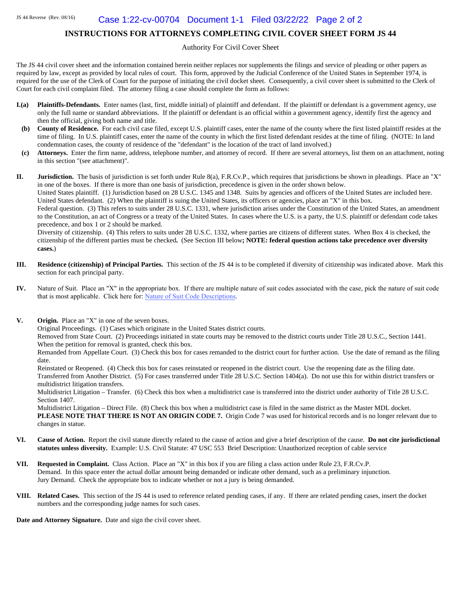# Case 1:22-cv-00704 Document 1-1 Filed 03/22/22 Page 2 of 2

#### **INSTRUCTIONS FOR ATTORNEYS COMPLETING CIVIL COVER SHEET FORM JS 44**

Authority For Civil Cover Sheet

The JS 44 civil cover sheet and the information contained herein neither replaces nor supplements the filings and service of pleading or other papers as required by law, except as provided by local rules of court. This form, approved by the Judicial Conference of the United States in September 1974, is required for the use of the Clerk of Court for the purpose of initiating the civil docket sheet. Consequently, a civil cover sheet is submitted to the Clerk of Court for each civil complaint filed. The attorney filing a case should complete the form as follows:

- **I.(a)** Plaintiffs-Defendants. Enter names (last, first, middle initial) of plaintiff and defendant. If the plaintiff or defendant is a government agency, use only the full name or standard abbreviations. If the plaintiff or defendant is an official within a government agency, identify first the agency and then the official, giving both name and title.
- **(b) County of Residence.** For each civil case filed, except U.S. plaintiff cases, enter the name of the county where the first listed plaintiff resides at the time of filing. In U.S. plaintiff cases, enter the name of the county in which the first listed defendant resides at the time of filing. (NOTE: In land condemnation cases, the county of residence of the "defendant" is the location of the tract of land involved.)
- **(c) Attorneys.** Enter the firm name, address, telephone number, and attorney of record. If there are several attorneys, list them on an attachment, noting in this section "(see attachment)".

**II. Jurisdiction.** The basis of jurisdiction is set forth under Rule 8(a), F.R.Cv.P., which requires that jurisdictions be shown in pleadings. Place an "X" in one of the boxes. If there is more than one basis of jurisdiction, precedence is given in the order shown below. United States plaintiff. (1) Jurisdiction based on 28 U.S.C. 1345 and 1348. Suits by agencies and officers of the United States are included here.

United States defendant. (2) When the plaintiff is suing the United States, its officers or agencies, place an "X" in this box. Federal question. (3) This refers to suits under 28 U.S.C. 1331, where jurisdiction arises under the Constitution of the United States, an amendment

to the Constitution, an act of Congress or a treaty of the United States. In cases where the U.S. is a party, the U.S. plaintiff or defendant code takes precedence, and box 1 or 2 should be marked.

Diversity of citizenship. (4) This refers to suits under 28 U.S.C. 1332, where parties are citizens of different states. When Box 4 is checked, the citizenship of the different parties must be checked**.** (See Section III below**; NOTE: federal question actions take precedence over diversity cases.**)

- **III. Residence (citizenship) of Principal Parties.** This section of the JS 44 is to be completed if diversity of citizenship was indicated above. Mark this section for each principal party.
- **IV.** Nature of Suit. Place an "X" in the appropriate box. If there are multiple nature of suit codes associated with the case, pick the nature of suit code that is most applicable. Click here for: Nature of [Suit Code Descriptions](http://www.uscourts.gov/forms/civil-forms/civil-cover-sheet).
- **V. Origin.** Place an "X" in one of the seven boxes.

Original Proceedings. (1) Cases which originate in the United States district courts.

Removed from State Court. (2) Proceedings initiated in state courts may be removed to the district courts under Title 28 U.S.C., Section 1441. When the petition for removal is granted, check this box.

Remanded from Appellate Court. (3) Check this box for cases remanded to the district court for further action. Use the date of remand as the filing date.

Reinstated or Reopened. (4) Check this box for cases reinstated or reopened in the district court. Use the reopening date as the filing date. Transferred from Another District. (5) For cases transferred under Title 28 U.S.C. Section 1404(a). Do not use this for within district transfers or multidistrict litigation transfers.

Multidistrict Litigation – Transfer. (6) Check this box when a multidistrict case is transferred into the district under authority of Title 28 U.S.C. Section 1407.

Multidistrict Litigation – Direct File. (8) Check this box when a multidistrict case is filed in the same district as the Master MDL docket. **PLEASE NOTE THAT THERE IS NOT AN ORIGIN CODE 7.** Origin Code 7 was used for historical records and is no longer relevant due to changes in statue.

- **VI. Cause of Action.** Report the civil statute directly related to the cause of action and give a brief description of the cause. **Do not cite jurisdictional statutes unless diversity.** Example: U.S. Civil Statute: 47 USC 553 Brief Description: Unauthorized reception of cable service
- **VII. Requested in Complaint.** Class Action. Place an "X" in this box if you are filing a class action under Rule 23, F.R.Cv.P. Demand. In this space enter the actual dollar amount being demanded or indicate other demand, such as a preliminary injunction. Jury Demand. Check the appropriate box to indicate whether or not a jury is being demanded.
- **VIII. Related Cases.** This section of the JS 44 is used to reference related pending cases, if any. If there are related pending cases, insert the docket numbers and the corresponding judge names for such cases.

**Date and Attorney Signature.** Date and sign the civil cover sheet.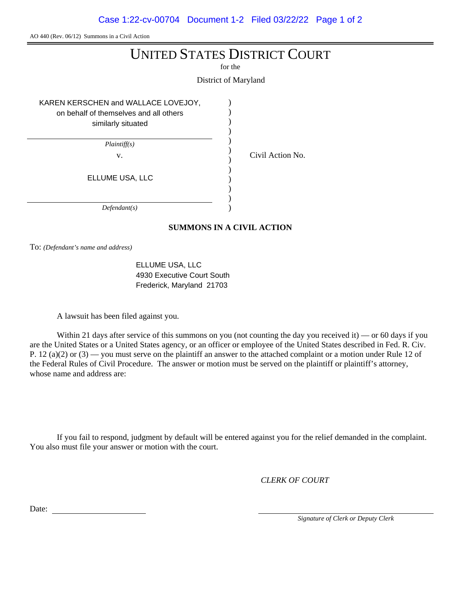Case 1:22-cv-00704 Document 1-2 Filed 03/22/22 Page 1 of 2

AO 440 (Rev. 06/12) Summons in a Civil Action

# UNITED STATES DISTRICT COURT

for the

District of Maryland

) ) ) ) ) ) ) ) ) ) ) )

v. Civil Action No.

KAREN KERSCHEN and WALLACE LOVEJOY,

on behalf of themselves and all others similarly situated

*Plaintiff(s)*

ELLUME USA, LLC

*Defendant(s)*

# **SUMMONS IN A CIVIL ACTION**

To: *(Defendant's name and address)*

ELLUME USA, LLC 4930 Executive Court South Frederick, Maryland 21703

A lawsuit has been filed against you.

Within 21 days after service of this summons on you (not counting the day you received it) — or 60 days if you are the United States or a United States agency, or an officer or employee of the United States described in Fed. R. Civ. P. 12 (a)(2) or  $(3)$  — you must serve on the plaintiff an answer to the attached complaint or a motion under Rule 12 of the Federal Rules of Civil Procedure. The answer or motion must be served on the plaintiff or plaintiff's attorney, whose name and address are:

If you fail to respond, judgment by default will be entered against you for the relief demanded in the complaint. You also must file your answer or motion with the court.

*CLERK OF COURT*

Date:

*Signature of Clerk or Deputy Clerk*